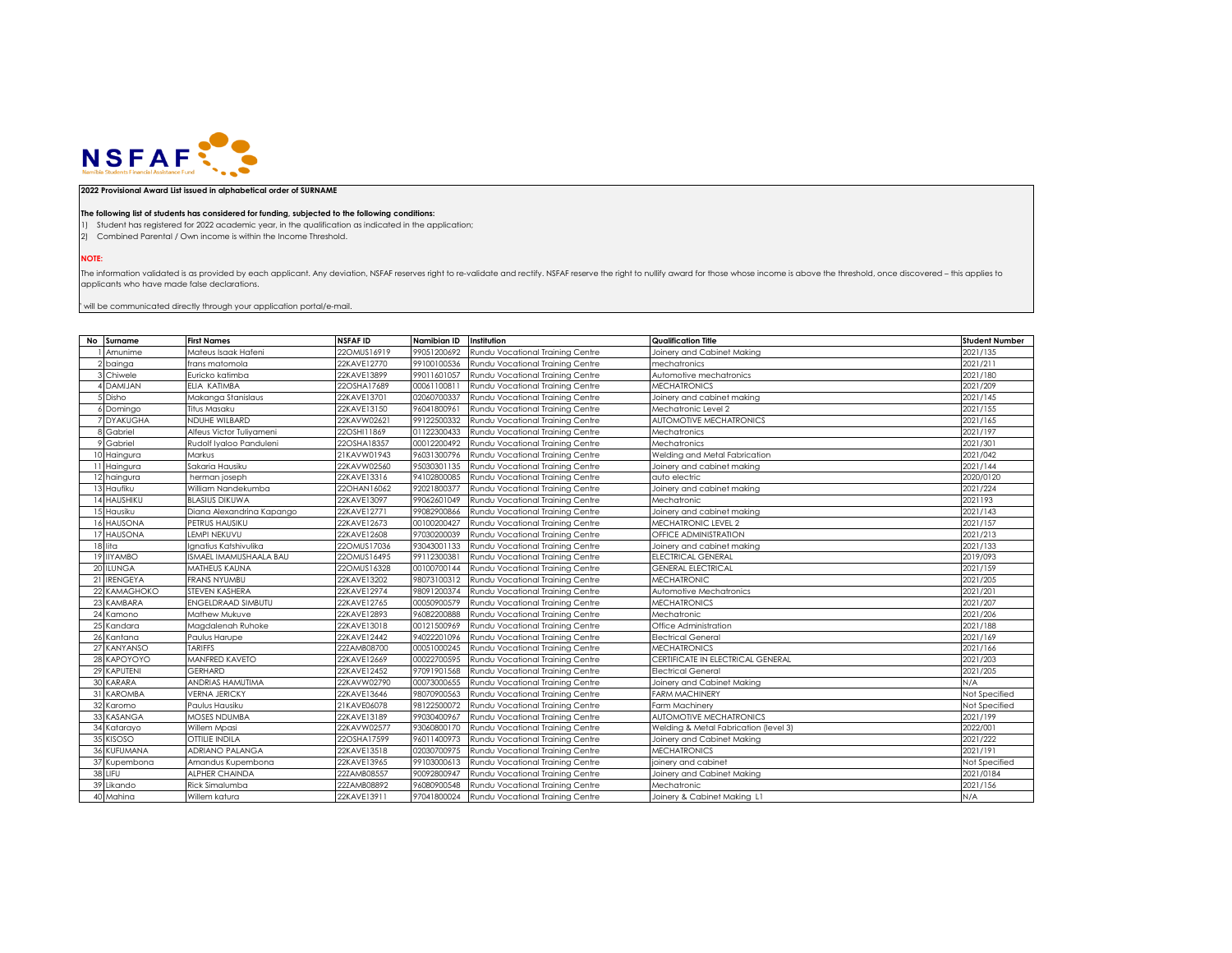

## **2022 Provisional Award List issued in alphabetical order of SURNAME**

## **The following list of students has considered for funding, subjected to the following conditions:**

1) Student has registered for 2022 academic year, in the qualification as indicated in the application;

2) Combined Parental / Own income is within the Income Threshold.

**NOTE:**

The information validated is as provided by each applicant. Any deviation, NSFAF reserves right to re-validate and rectify. NSFAF reserve the right to nullify award for those whose income is above the threshold, once disco applicants who have made false declarations.

 $"$  will be communicated directly through your application portal/e-mail.

| No Surname   | <b>First Names</b>        | <b>NSFAFID</b> | Namibian ID | Institution                      | Qualification Title                   | <b>Student Number</b> |
|--------------|---------------------------|----------------|-------------|----------------------------------|---------------------------------------|-----------------------|
| Amunime      | Mateus Isaak Hafeni       | 22OMUS16919    | 99051200692 | Rundu Vocational Training Centre | Joinery and Cabinet Making            | 2021/135              |
| 2 bainga     | frans matomola            | 22KAVE12770    | 99100100536 | Rundu Vocational Training Centre | mechatronics                          | 2021/211              |
| 3 Chiwele    | Euricko katimba           | 22KAVE13899    | 99011601057 | Rundu Vocational Training Centre | Automotive mechatronics               | 2021/180              |
| 4 DAMIJAN    | ELIA KATIMBA              | 22OSHA17689    | 00061100811 | Rundu Vocational Training Centre | <b>MECHATRONICS</b>                   | 2021/209              |
| 5 Disho      | Makanga Stanislaus        | 22KAVE13701    | 02060700337 | Rundu Vocational Training Centre | Joinery and cabinet making            | 2021/145              |
| 6 Domingo    | Titus Masaku              | 22KAVE13150    | 96041800961 | Rundu Vocational Training Centre | Mechatronic Level 2                   | 2021/155              |
| 7 DYAKUGHA   | NDUHE WILBARD             | 22KAVW02621    | 99122500332 | Rundu Vocational Training Centre | <b>AUTOMOTIVE MECHATRONICS</b>        | 2021/165              |
| 8 Gabriel    | Alfeus Victor Tuliyameni  | 22OSHI11869    | 01122300433 | Rundu Vocational Training Centre | Mechatronics                          | 2021/197              |
| 9 Gabriel    | Rudolf Iyaloo Panduleni   | 22OSHA18357    | 00012200492 | Rundu Vocational Training Centre | Mechatronics                          | 2021/301              |
| 10 Haingura  | Markus                    | 21KAVW01943    | 96031300796 | Rundu Vocational Training Centre | Welding and Metal Fabrication         | 2021/042              |
| 11 Haingura  | Sakaria Hausiku           | 22KAVW02560    | 95030301135 | Rundu Vocational Training Centre | Joinery and cabinet making            | 2021/144              |
| 12 haingura  | herman joseph             | 22KAVE13316    | 94102800085 | Rundu Vocational Training Centre | auto electric                         | 2020/0120             |
| 13 Haufiku   | William Nandekumba        | 22OHAN16062    | 92021800377 | Rundu Vocational Training Centre | Joinery and cabinet making            | 2021/224              |
| 14 HAUSHIKU  | <b>BLASIUS DIKUWA</b>     | 22KAVE13097    | 99062601049 | Rundu Vocational Training Centre | Mechatronic                           | 2021193               |
| 15 Hausiku   | Diana Alexandrina Kapango | 22KAVE12771    | 99082900866 | Rundu Vocational Training Centre | Joinery and cabinet making            | 2021/143              |
| 16 HAUSONA   | PETRUS HAUSIKU            | 22KAVE12673    | 00100200427 | Rundu Vocational Trainina Centre | MECHATRONIC LEVEL 2                   | 2021/157              |
| 17 HAUSONA   | LEMPI NEKUVU              | 22KAVE12608    | 97030200039 | Rundu Vocational Training Centre | OFFICE ADMINISTRATION                 | 2021/213              |
| 18 lita      | Ignatius Katshivulika     | 22OMUS17036    | 93043001133 | Rundu Vocational Training Centre | Joinery and cabinet making            | 2021/133              |
| 19 IIYAMBO   | ISMAEL IMAMUSHAALA BAU    | 22OMUS16495    | 99112300381 | Rundu Vocational Training Centre | ELECTRICAL GENERAL                    | 2019/093              |
| 20 ILUNGA    | MATHEUS KAUNA             | 22OMUS16328    | 00100700144 | Rundu Vocational Training Centre | <b>GENERAL ELECTRICAL</b>             | 2021/159              |
| 21 IRENGEYA  | <b>FRANS NYUMBU</b>       | 22KAVE13202    | 98073100312 | Rundu Vocational Training Centre | <b>MECHATRONIC</b>                    | 2021/205              |
| 22 KAMAGHOKO | STEVEN KASHERA            | 22KAVE12974    | 98091200374 | Rundu Vocational Training Centre | Automotive Mechatronics               | 2021/201              |
| 23 KAMBARA   | <b>ENGELDRAAD SIMBUTU</b> | 22KAVE12765    | 00050900579 | Rundu Vocational Training Centre | <b><i>MECHATRONICS</i></b>            | 2021/207              |
| 24 Kamono    | Mathew Mukuve             | 22KAVE12893    | 96082200888 | Rundu Vocational Training Centre | Mechatronic                           | 2021/206              |
| 25 Kandara   | Magdalenah Ruhoke         | 22KAVE13018    | 00121500969 | Rundu Vocational Training Centre | Office Administration                 | 2021/188              |
| 26 Kantana   | Paulus Harupe             | 22KAVE12442    | 94022201096 | Rundu Vocational Training Centre | <b>Electrical General</b>             | 2021/169              |
| 27 KANYANSO  | <b>TARIFFS</b>            | 22ZAMB08700    | 00051000245 | Rundu Vocational Training Centre | <b>MECHATRONICS</b>                   | 2021/166              |
| 28 KAPOYOYO  | MANFRED KAVETO            | 22KAVE12669    | 00022700595 | Rundu Vocational Training Centre | CERTIFICATE IN ELECTRICAL GENERAL     | 2021/203              |
| 29 KAPUTENI  | <b>GERHARD</b>            | 22KAVE12452    | 97091901568 | Rundu Vocational Training Centre | <b>Electrical General</b>             | 2021/205              |
| 30 KARARA    | ANDRIAS HAMUTIMA          | 22KAVW02790    | 00073000655 | Rundu Vocational Training Centre | Joinery and Cabinet Making            | N/A                   |
| 31 KAROMBA   | <b>VERNA JERICKY</b>      | 22KAVE13646    | 98070900563 | Rundu Vocational Training Centre | <b>FARM MACHINERY</b>                 | Not Specified         |
| 32 Karomo    | Paulus Hausiku            | 21KAVE06078    | 98122500072 | Rundu Vocational Training Centre | Farm Machinery                        | Not Specified         |
| 33 KASANGA   | <b>MOSES NDUMBA</b>       | 22KAVE13189    | 99030400967 | Rundu Vocational Training Centre | <b>AUTOMOTIVE MECHATRONICS</b>        | 2021/199              |
| 34 Katarayo  | Willem Mpasi              | 22KAVW02577    | 93060800170 | Rundu Vocational Training Centre | Welding & Metal Fabrication (level 3) | 2022/001              |
| 35 KISOSO    | OTTILIE INDILA            | 22OSHA17599    | 96011400973 | Rundu Vocational Training Centre | Joinery and Cabinet Making            | 2021/222              |
| 36 KUFUMANA  | <b>ADRIANO PALANGA</b>    | 22KAVE13518    | 02030700975 | Rundu Vocational Training Centre | <b>MECHATRONICS</b>                   | 2021/191              |
| 37 Kupembona | Amandus Kupembona         | 22KAVE13965    | 99103000613 | Rundu Vocational Training Centre | joinery and cabinet                   | Not Specified         |
| 38 LIFU      | <b>ALPHER CHAINDA</b>     | 22ZAMB08557    | 90092800947 | Rundu Vocational Training Centre | Joinery and Cabinet Making            | 2021/0184             |
| 39 Likando   | Rick Simalumba            | 22ZAMB08892    | 96080900548 | Rundu Vocational Trainina Centre | Mechatronic                           | 2021/156              |
| 40 Mahina    | Willem katura             | 22KAVE13911    | 97041800024 | Rundu Vocational Training Centre | Joinery & Cabinet Makina L1           | N/A                   |